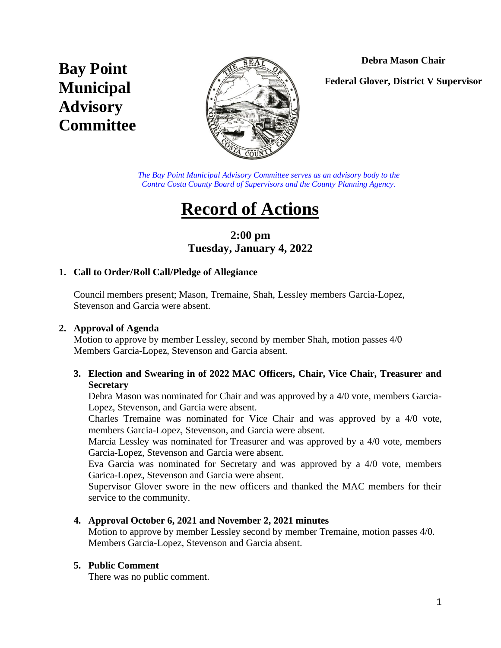# **Debra Mason Chair**

# **Bay Point Municipal Advisory Committee**



**Federal Glover, District V Supervisor**

*The Bay Point Municipal Advisory Committee serves as an advisory body to the Contra Costa County Board of Supervisors and the County Planning Agency.*

# **Record of Actions**

# **2:00 pm Tuesday, January 4, 2022**

#### **1. Call to Order/Roll Call/Pledge of Allegiance**

Council members present; Mason, Tremaine, Shah, Lessley members Garcia-Lopez, Stevenson and Garcia were absent.

#### **2. Approval of Agenda**

Motion to approve by member Lessley, second by member Shah, motion passes 4/0 Members Garcia-Lopez, Stevenson and Garcia absent.

#### **3. Election and Swearing in of 2022 MAC Officers, Chair, Vice Chair, Treasurer and Secretary**

Debra Mason was nominated for Chair and was approved by a 4/0 vote, members Garcia-Lopez, Stevenson, and Garcia were absent.

Charles Tremaine was nominated for Vice Chair and was approved by a 4/0 vote, members Garcia-Lopez, Stevenson, and Garcia were absent.

Marcia Lessley was nominated for Treasurer and was approved by a 4/0 vote, members Garcia-Lopez, Stevenson and Garcia were absent.

Eva Garcia was nominated for Secretary and was approved by a 4/0 vote, members Garica-Lopez, Stevenson and Garcia were absent.

Supervisor Glover swore in the new officers and thanked the MAC members for their service to the community.

# **4. Approval October 6, 2021 and November 2, 2021 minutes**

Motion to approve by member Lessley second by member Tremaine, motion passes 4/0. Members Garcia-Lopez, Stevenson and Garcia absent.

# **5. Public Comment**

There was no public comment.